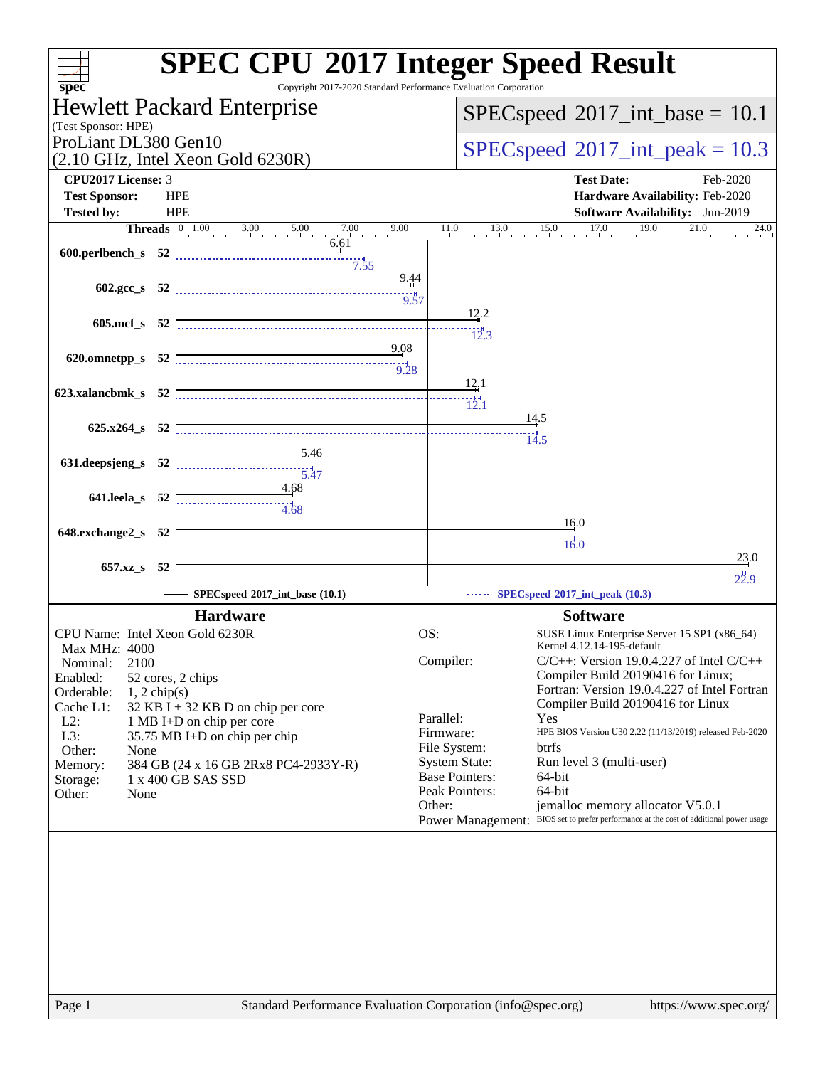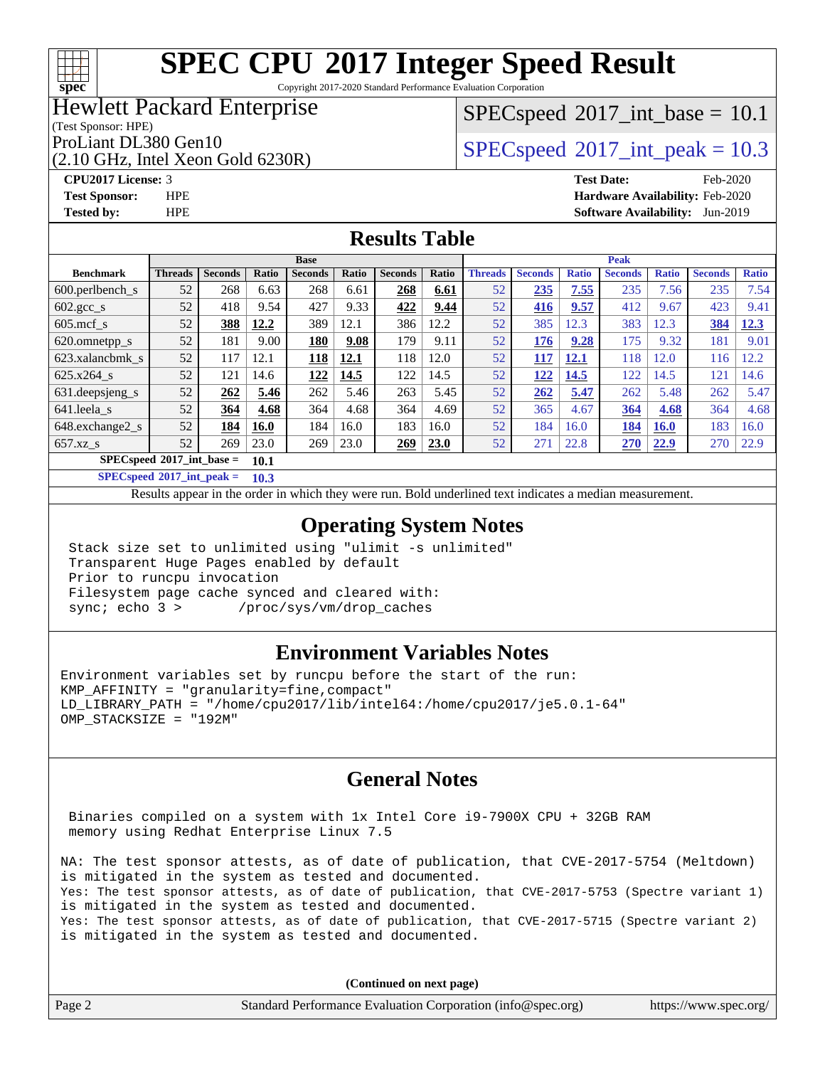# **[spec](http://www.spec.org/)**

# **[SPEC CPU](http://www.spec.org/auto/cpu2017/Docs/result-fields.html#SPECCPU2017IntegerSpeedResult)[2017 Integer Speed Result](http://www.spec.org/auto/cpu2017/Docs/result-fields.html#SPECCPU2017IntegerSpeedResult)**

Copyright 2017-2020 Standard Performance Evaluation Corporation

## Hewlett Packard Enterprise

### (Test Sponsor: HPE)

(2.10 GHz, Intel Xeon Gold 6230R)

 $SPECspeed^{\circ}2017\_int\_base = 10.1$  $SPECspeed^{\circ}2017\_int\_base = 10.1$ 

ProLiant DL380 Gen10  $SPECspeed@2017$  $SPECspeed@2017$ \_int\_peak = 10.3

**[CPU2017 License:](http://www.spec.org/auto/cpu2017/Docs/result-fields.html#CPU2017License)** 3 **[Test Date:](http://www.spec.org/auto/cpu2017/Docs/result-fields.html#TestDate)** Feb-2020 **[Test Sponsor:](http://www.spec.org/auto/cpu2017/Docs/result-fields.html#TestSponsor)** HPE **[Hardware Availability:](http://www.spec.org/auto/cpu2017/Docs/result-fields.html#HardwareAvailability)** Feb-2020 **[Tested by:](http://www.spec.org/auto/cpu2017/Docs/result-fields.html#Testedby)** HPE **[Software Availability:](http://www.spec.org/auto/cpu2017/Docs/result-fields.html#SoftwareAvailability)** Jun-2019

## **[Results Table](http://www.spec.org/auto/cpu2017/Docs/result-fields.html#ResultsTable)**

|                                       | <b>Base</b>    |                |       |                |       |                |       | <b>Peak</b>    |                |              |                |              |                |              |
|---------------------------------------|----------------|----------------|-------|----------------|-------|----------------|-------|----------------|----------------|--------------|----------------|--------------|----------------|--------------|
| <b>Benchmark</b>                      | <b>Threads</b> | <b>Seconds</b> | Ratio | <b>Seconds</b> | Ratio | <b>Seconds</b> | Ratio | <b>Threads</b> | <b>Seconds</b> | <b>Ratio</b> | <b>Seconds</b> | <b>Ratio</b> | <b>Seconds</b> | <b>Ratio</b> |
| $600.$ perlbench $\mathsf{S}$         | 52             | 268            | 6.63  | 268            | 6.61  | 268            | 6.61  | 52             | 235            | 7.55         | 235            | 7.56         | 235            | 7.54         |
| $602 \text{.} \text{gcc}\text{_<}$ s  | 52             | 418            | 9.54  | 427            | 9.33  | 422            | 9.44  | 52             | 416            | 9.57         | 412            | 9.67         | 423            | 9.41         |
| $605$ .mcf s                          | 52             | 388            | 12.2  | 389            | 12.1  | 386            | 12.2  | 52             | 385            | 12.3         | 383            | 12.3         | 384            | 12.3         |
| 620.omnetpp_s                         | 52             | 181            | 9.00  | 180            | 9.08  | 179            | 9.11  | 52             | 176            | 9.28         | 175            | 9.32         | 181            | 9.01         |
| 623.xalancbmk s                       | 52             | 117            | 12.1  | <u>118</u>     | 12.1  | 118            | 12.0  | 52             | 117            | 12.1         | 118            | 12.0         | 116            | 12.2         |
| 625.x264 s                            | 52             | 121            | 14.6  | 122            | 14.5  | 122            | 14.5  | 52             | 122            | 14.5         | 122            | 14.5         | 121            | 14.6         |
| 631. deepsieng s                      | 52             | 262            | 5.46  | 262            | 5.46  | 263            | 5.45  | 52             | 262            | 5.47         | 262            | 5.48         | 262            | 5.47         |
| 641.leela s                           | 52             | 364            | 4.68  | 364            | 4.68  | 364            | 4.69  | 52             | 365            | 4.67         | 364            | 4.68         | 364            | 4.68         |
| 648.exchange2_s                       | 52             | 184            | 16.0  | 184            | 16.0  | 183            | 16.0  | 52             | 184            | 16.0         | 184            | <b>16.0</b>  | 183            | 16.0         |
| $657.xz$ s                            | 52             | 269            | 23.0  | 269            | 23.0  | 269            | 23.0  | 52             | 271            | 22.8         | 270            | 22.9         | 270            | 22.9         |
| $SPECspeed*2017\_int\_base =$<br>10.1 |                |                |       |                |       |                |       |                |                |              |                |              |                |              |

**[SPECspeed](http://www.spec.org/auto/cpu2017/Docs/result-fields.html#SPECspeed2017intpeak)[2017\\_int\\_peak =](http://www.spec.org/auto/cpu2017/Docs/result-fields.html#SPECspeed2017intpeak) 10.3**

Results appear in the [order in which they were run.](http://www.spec.org/auto/cpu2017/Docs/result-fields.html#RunOrder) Bold underlined text [indicates a median measurement](http://www.spec.org/auto/cpu2017/Docs/result-fields.html#Median).

## **[Operating System Notes](http://www.spec.org/auto/cpu2017/Docs/result-fields.html#OperatingSystemNotes)**

 Stack size set to unlimited using "ulimit -s unlimited" Transparent Huge Pages enabled by default Prior to runcpu invocation Filesystem page cache synced and cleared with: sync; echo 3 > /proc/sys/vm/drop\_caches

## **[Environment Variables Notes](http://www.spec.org/auto/cpu2017/Docs/result-fields.html#EnvironmentVariablesNotes)**

Environment variables set by runcpu before the start of the run: KMP\_AFFINITY = "granularity=fine,compact" LD\_LIBRARY\_PATH = "/home/cpu2017/lib/intel64:/home/cpu2017/je5.0.1-64" OMP\_STACKSIZE = "192M"

## **[General Notes](http://www.spec.org/auto/cpu2017/Docs/result-fields.html#GeneralNotes)**

 Binaries compiled on a system with 1x Intel Core i9-7900X CPU + 32GB RAM memory using Redhat Enterprise Linux 7.5

NA: The test sponsor attests, as of date of publication, that CVE-2017-5754 (Meltdown) is mitigated in the system as tested and documented. Yes: The test sponsor attests, as of date of publication, that CVE-2017-5753 (Spectre variant 1) is mitigated in the system as tested and documented. Yes: The test sponsor attests, as of date of publication, that CVE-2017-5715 (Spectre variant 2) is mitigated in the system as tested and documented.

**(Continued on next page)**

| Page 2<br>Standard Performance Evaluation Corporation (info@spec.org)<br>https://www.spec.org/ |
|------------------------------------------------------------------------------------------------|
|------------------------------------------------------------------------------------------------|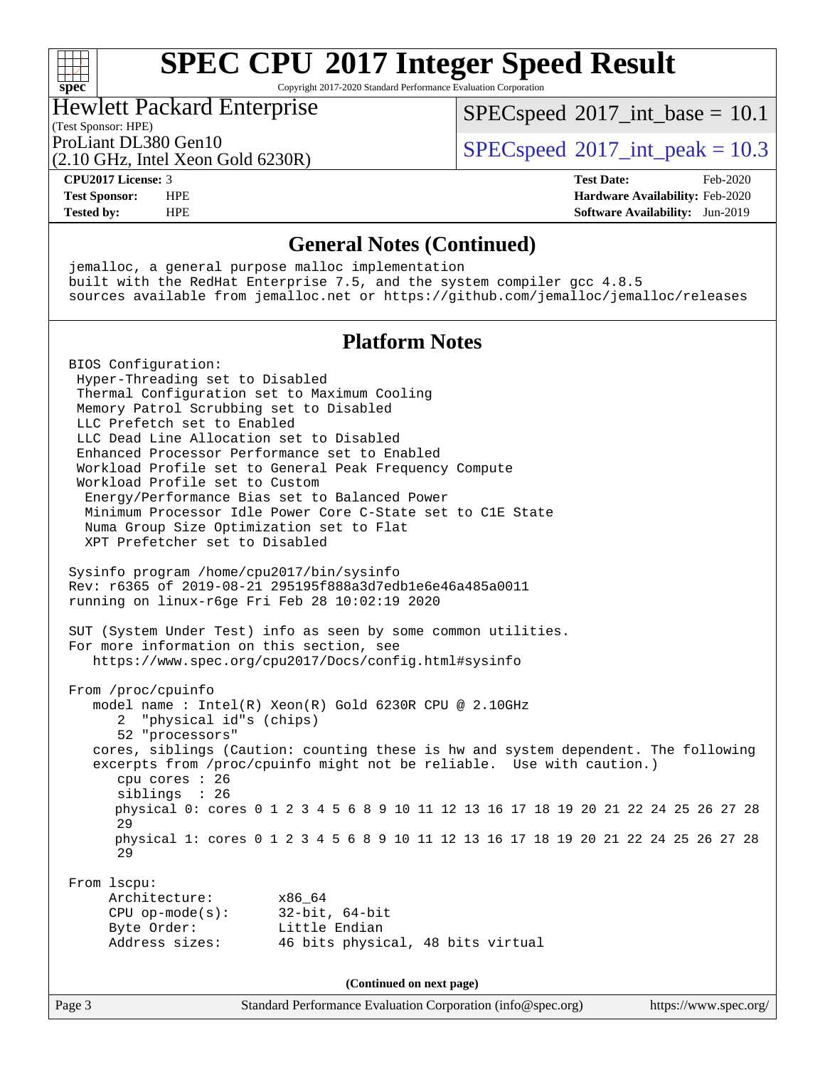Copyright 2017-2020 Standard Performance Evaluation Corporation

## Hewlett Packard Enterprise

(2.10 GHz, Intel Xeon Gold 6230R)

 $SPECspeed^{\circ}2017\_int\_base = 10.1$  $SPECspeed^{\circ}2017\_int\_base = 10.1$ 

(Test Sponsor: HPE)

ProLiant DL380 Gen10  $SPECspeed@2017$  $SPECspeed@2017$ \_int\_peak = 10.3

**[spec](http://www.spec.org/)**

 $+\!\!+\!\!$ 

**[CPU2017 License:](http://www.spec.org/auto/cpu2017/Docs/result-fields.html#CPU2017License)** 3 **[Test Date:](http://www.spec.org/auto/cpu2017/Docs/result-fields.html#TestDate)** Feb-2020 **[Test Sponsor:](http://www.spec.org/auto/cpu2017/Docs/result-fields.html#TestSponsor)** HPE **[Hardware Availability:](http://www.spec.org/auto/cpu2017/Docs/result-fields.html#HardwareAvailability)** Feb-2020 **[Tested by:](http://www.spec.org/auto/cpu2017/Docs/result-fields.html#Testedby)** HPE **[Software Availability:](http://www.spec.org/auto/cpu2017/Docs/result-fields.html#SoftwareAvailability)** Jun-2019

### **[General Notes \(Continued\)](http://www.spec.org/auto/cpu2017/Docs/result-fields.html#GeneralNotes)**

Page 3 Standard Performance Evaluation Corporation [\(info@spec.org\)](mailto:info@spec.org) <https://www.spec.org/> jemalloc, a general purpose malloc implementation built with the RedHat Enterprise 7.5, and the system compiler gcc 4.8.5 sources available from jemalloc.net or <https://github.com/jemalloc/jemalloc/releases> **[Platform Notes](http://www.spec.org/auto/cpu2017/Docs/result-fields.html#PlatformNotes)** BIOS Configuration: Hyper-Threading set to Disabled Thermal Configuration set to Maximum Cooling Memory Patrol Scrubbing set to Disabled LLC Prefetch set to Enabled LLC Dead Line Allocation set to Disabled Enhanced Processor Performance set to Enabled Workload Profile set to General Peak Frequency Compute Workload Profile set to Custom Energy/Performance Bias set to Balanced Power Minimum Processor Idle Power Core C-State set to C1E State Numa Group Size Optimization set to Flat XPT Prefetcher set to Disabled Sysinfo program /home/cpu2017/bin/sysinfo Rev: r6365 of 2019-08-21 295195f888a3d7edb1e6e46a485a0011 running on linux-r6ge Fri Feb 28 10:02:19 2020 SUT (System Under Test) info as seen by some common utilities. For more information on this section, see <https://www.spec.org/cpu2017/Docs/config.html#sysinfo> From /proc/cpuinfo model name : Intel(R) Xeon(R) Gold 6230R CPU @ 2.10GHz 2 "physical id"s (chips) 52 "processors" cores, siblings (Caution: counting these is hw and system dependent. The following excerpts from /proc/cpuinfo might not be reliable. Use with caution.) cpu cores : 26 siblings : 26 physical 0: cores 0 1 2 3 4 5 6 8 9 10 11 12 13 16 17 18 19 20 21 22 24 25 26 27 28 29 physical 1: cores 0 1 2 3 4 5 6 8 9 10 11 12 13 16 17 18 19 20 21 22 24 25 26 27 28 29 From lscpu: Architecture: x86\_64 CPU op-mode(s): 32-bit, 64-bit Byte Order: Little Endian Address sizes: 46 bits physical, 48 bits virtual **(Continued on next page)**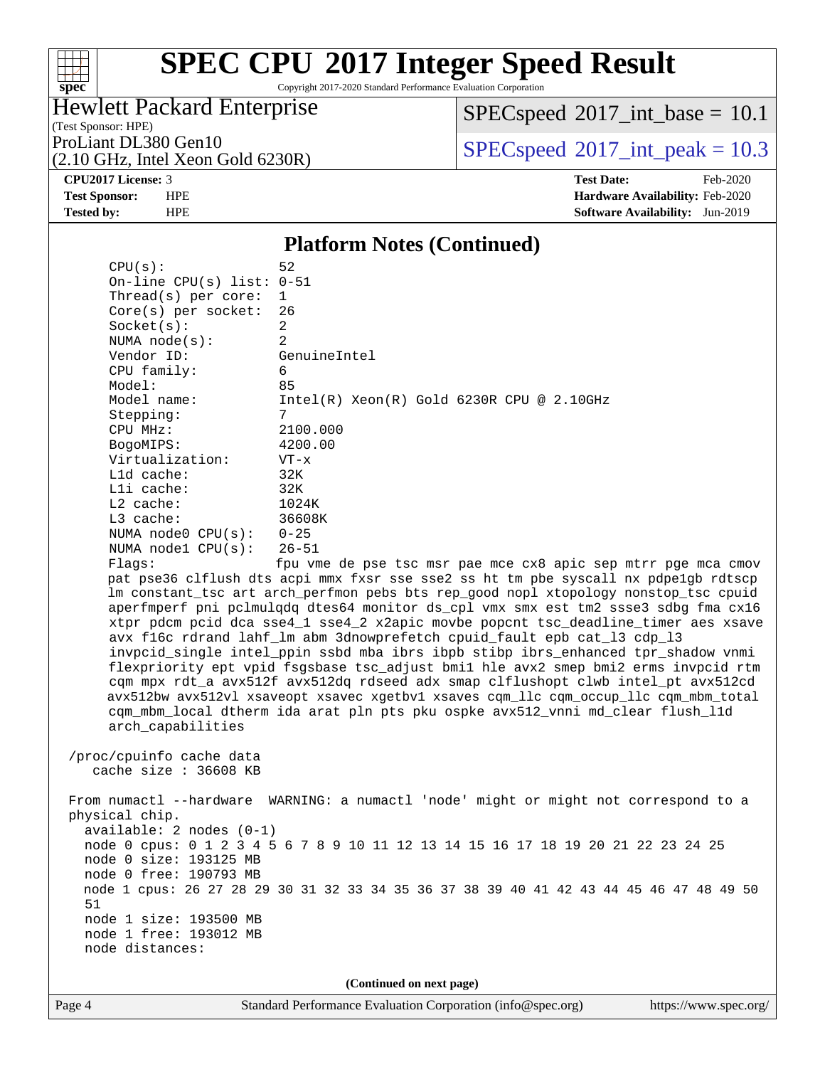## $+\,$ H **[spec](http://www.spec.org/)**

# **[SPEC CPU](http://www.spec.org/auto/cpu2017/Docs/result-fields.html#SPECCPU2017IntegerSpeedResult)[2017 Integer Speed Result](http://www.spec.org/auto/cpu2017/Docs/result-fields.html#SPECCPU2017IntegerSpeedResult)**

Copyright 2017-2020 Standard Performance Evaluation Corporation

## Hewlett Packard Enterprise

(2.10 GHz, Intel Xeon Gold 6230R)

 $SPECspeed^{\circ}2017\_int\_base = 10.1$  $SPECspeed^{\circ}2017\_int\_base = 10.1$ 

(Test Sponsor: HPE)

ProLiant DL380 Gen10  $SPECspeed@2017$  $SPECspeed@2017$ \_int\_peak = 10.3

**[CPU2017 License:](http://www.spec.org/auto/cpu2017/Docs/result-fields.html#CPU2017License)** 3 **[Test Date:](http://www.spec.org/auto/cpu2017/Docs/result-fields.html#TestDate)** Feb-2020 **[Test Sponsor:](http://www.spec.org/auto/cpu2017/Docs/result-fields.html#TestSponsor)** HPE **[Hardware Availability:](http://www.spec.org/auto/cpu2017/Docs/result-fields.html#HardwareAvailability)** Feb-2020 **[Tested by:](http://www.spec.org/auto/cpu2017/Docs/result-fields.html#Testedby)** HPE **[Software Availability:](http://www.spec.org/auto/cpu2017/Docs/result-fields.html#SoftwareAvailability)** Jun-2019

### **[Platform Notes \(Continued\)](http://www.spec.org/auto/cpu2017/Docs/result-fields.html#PlatformNotes)**

 $CPU(s):$  52 On-line CPU(s) list: 0-51 Thread(s) per core: 1 Core(s) per socket: 26 Socket(s): 2 NUMA node(s): 2 Vendor ID: GenuineIntel CPU family: 6 Model: 85 Model name: Intel(R) Xeon(R) Gold 6230R CPU @ 2.10GHz Stepping: 7 CPU MHz: 2100.000 BogoMIPS: 4200.00 Virtualization: VT-x L1d cache: 32K L1i cache: 32K L2 cache: 1024K L3 cache: 36608K NUMA node0 CPU(s): 0-25<br>NUMA node1 CPU(s): 26-51 NUMA nodel CPU(s): Flags: fpu vme de pse tsc msr pae mce cx8 apic sep mtrr pge mca cmov pat pse36 clflush dts acpi mmx fxsr sse sse2 ss ht tm pbe syscall nx pdpe1gb rdtscp lm constant\_tsc art arch\_perfmon pebs bts rep\_good nopl xtopology nonstop\_tsc cpuid aperfmperf pni pclmulqdq dtes64 monitor ds\_cpl vmx smx est tm2 ssse3 sdbg fma cx16 xtpr pdcm pcid dca sse4\_1 sse4\_2 x2apic movbe popcnt tsc\_deadline\_timer aes xsave avx f16c rdrand lahf\_lm abm 3dnowprefetch cpuid\_fault epb cat\_l3 cdp\_l3 invpcid\_single intel\_ppin ssbd mba ibrs ibpb stibp ibrs\_enhanced tpr\_shadow vnmi flexpriority ept vpid fsgsbase tsc\_adjust bmi1 hle avx2 smep bmi2 erms invpcid rtm cqm mpx rdt\_a avx512f avx512dq rdseed adx smap clflushopt clwb intel\_pt avx512cd avx512bw avx512vl xsaveopt xsavec xgetbv1 xsaves cqm\_llc cqm\_occup\_llc cqm\_mbm\_total cqm\_mbm\_local dtherm ida arat pln pts pku ospke avx512\_vnni md\_clear flush\_l1d arch\_capabilities /proc/cpuinfo cache data cache size : 36608 KB From numactl --hardware WARNING: a numactl 'node' might or might not correspond to a physical chip. available: 2 nodes (0-1) node 0 cpus: 0 1 2 3 4 5 6 7 8 9 10 11 12 13 14 15 16 17 18 19 20 21 22 23 24 25 node 0 size: 193125 MB node 0 free: 190793 MB node 1 cpus: 26 27 28 29 30 31 32 33 34 35 36 37 38 39 40 41 42 43 44 45 46 47 48 49 50 51 node 1 size: 193500 MB node 1 free: 193012 MB

**(Continued on next page)**

node distances: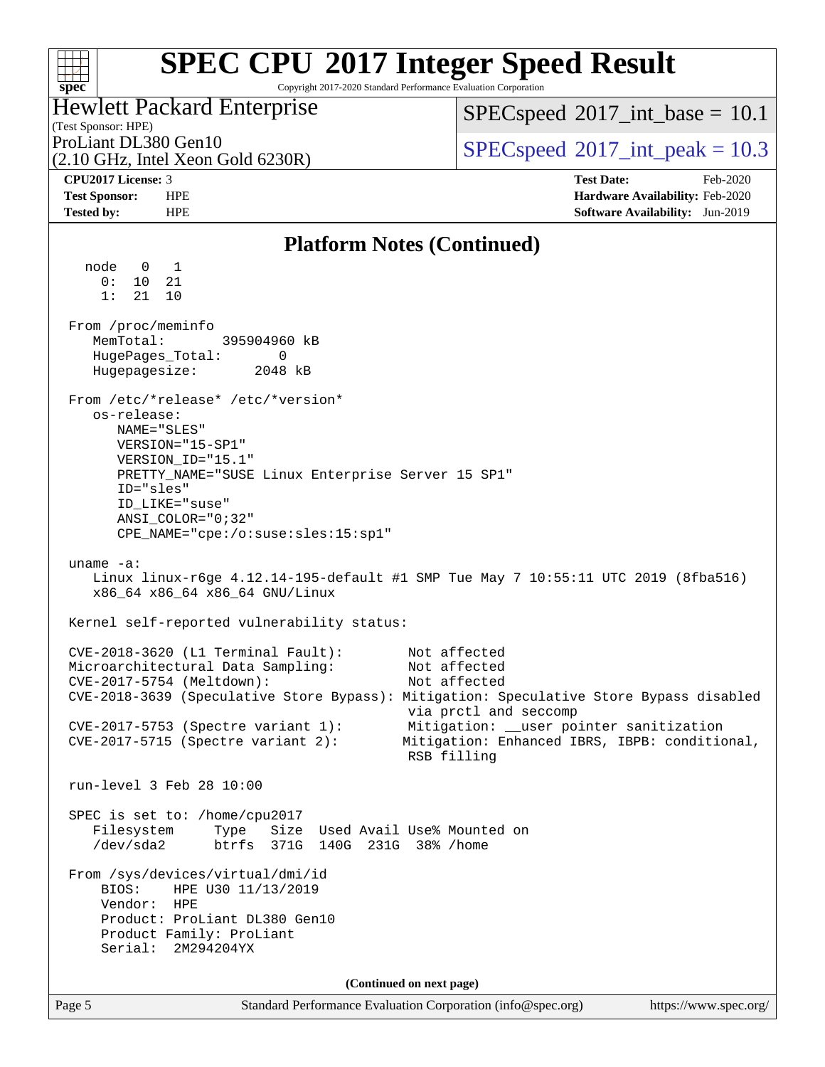### **[SPEC CPU](http://www.spec.org/auto/cpu2017/Docs/result-fields.html#SPECCPU2017IntegerSpeedResult)[2017 Integer Speed Result](http://www.spec.org/auto/cpu2017/Docs/result-fields.html#SPECCPU2017IntegerSpeedResult)** Copyright 2017-2020 Standard Performance Evaluation Corporation

## Hewlett Packard Enterprise

(2.10 GHz, Intel Xeon Gold 6230R)

 $SPECspeed^{\circ}2017\_int\_base = 10.1$  $SPECspeed^{\circ}2017\_int\_base = 10.1$ 

(Test Sponsor: HPE)

ProLiant DL380 Gen10  $SPECspeed@2017$  $SPECspeed@2017$ \_int\_peak = 10.3

**[spec](http://www.spec.org/)**

 $+\ +$ 

**[CPU2017 License:](http://www.spec.org/auto/cpu2017/Docs/result-fields.html#CPU2017License)** 3 **[Test Date:](http://www.spec.org/auto/cpu2017/Docs/result-fields.html#TestDate)** Feb-2020 **[Test Sponsor:](http://www.spec.org/auto/cpu2017/Docs/result-fields.html#TestSponsor)** HPE **[Hardware Availability:](http://www.spec.org/auto/cpu2017/Docs/result-fields.html#HardwareAvailability)** Feb-2020 **[Tested by:](http://www.spec.org/auto/cpu2017/Docs/result-fields.html#Testedby)** HPE **[Software Availability:](http://www.spec.org/auto/cpu2017/Docs/result-fields.html#SoftwareAvailability)** Jun-2019

### **[Platform Notes \(Continued\)](http://www.spec.org/auto/cpu2017/Docs/result-fields.html#PlatformNotes)** node 0 1 0: 10 21 1: 21 10 From /proc/meminfo MemTotal: 395904960 kB HugePages\_Total: 0<br>Hugepagesize: 2048 kB Hugepagesize: From /etc/\*release\* /etc/\*version\* os-release: NAME="SLES" VERSION="15-SP1" VERSION\_ID="15.1" PRETTY\_NAME="SUSE Linux Enterprise Server 15 SP1" ID="sles" ID\_LIKE="suse" ANSI\_COLOR="0;32" CPE\_NAME="cpe:/o:suse:sles:15:sp1" uname -a: Linux linux-r6ge 4.12.14-195-default #1 SMP Tue May 7 10:55:11 UTC 2019 (8fba516) x86\_64 x86\_64 x86\_64 GNU/Linux Kernel self-reported vulnerability status: CVE-2018-3620 (L1 Terminal Fault): Not affected Microarchitectural Data Sampling: Not affected CVE-2017-5754 (Meltdown): Not affected CVE-2018-3639 (Speculative Store Bypass): Mitigation: Speculative Store Bypass disabled via prctl and seccomp CVE-2017-5753 (Spectre variant 1): Mitigation: \_\_user pointer sanitization CVE-2017-5715 (Spectre variant 2): Mitigation: Enhanced IBRS, IBPB: conditional, RSB filling run-level 3 Feb 28 10:00 SPEC is set to: /home/cpu2017 Filesystem Type Size Used Avail Use% Mounted on /dev/sda2 btrfs 371G 140G 231G 38% /home From /sys/devices/virtual/dmi/id BIOS: HPE U30 11/13/2019 Vendor: HPE Product: ProLiant DL380 Gen10 Product Family: ProLiant Serial: 2M294204YX **(Continued on next page)**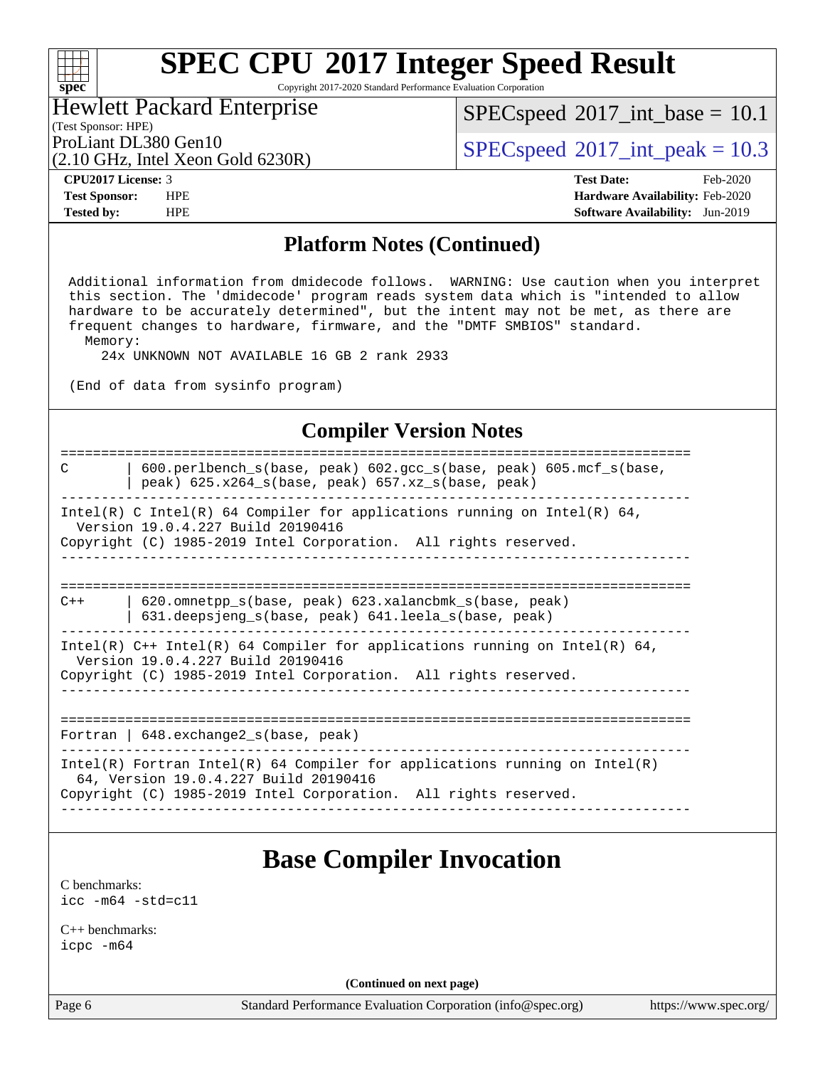Copyright 2017-2020 Standard Performance Evaluation Corporation

## Hewlett Packard Enterprise

(2.10 GHz, Intel Xeon Gold 6230R)

 $SPECspeed^{\circledast}2017\_int\_base = 10.1$  $SPECspeed^{\circledast}2017\_int\_base = 10.1$ 

(Test Sponsor: HPE)

ProLiant DL380 Gen10  $SPECspeed@2017$  $SPECspeed@2017$ \_int\_peak = 10.3

**[spec](http://www.spec.org/)**

 $\pm\,\mu$ 

**[CPU2017 License:](http://www.spec.org/auto/cpu2017/Docs/result-fields.html#CPU2017License)** 3 **[Test Date:](http://www.spec.org/auto/cpu2017/Docs/result-fields.html#TestDate)** Feb-2020 **[Test Sponsor:](http://www.spec.org/auto/cpu2017/Docs/result-fields.html#TestSponsor)** HPE **[Hardware Availability:](http://www.spec.org/auto/cpu2017/Docs/result-fields.html#HardwareAvailability)** Feb-2020 **[Tested by:](http://www.spec.org/auto/cpu2017/Docs/result-fields.html#Testedby)** HPE **[Software Availability:](http://www.spec.org/auto/cpu2017/Docs/result-fields.html#SoftwareAvailability)** Jun-2019

### **[Platform Notes \(Continued\)](http://www.spec.org/auto/cpu2017/Docs/result-fields.html#PlatformNotes)**

 Additional information from dmidecode follows. WARNING: Use caution when you interpret this section. The 'dmidecode' program reads system data which is "intended to allow hardware to be accurately determined", but the intent may not be met, as there are frequent changes to hardware, firmware, and the "DMTF SMBIOS" standard. Memory:

24x UNKNOWN NOT AVAILABLE 16 GB 2 rank 2933

(End of data from sysinfo program)

### **[Compiler Version Notes](http://www.spec.org/auto/cpu2017/Docs/result-fields.html#CompilerVersionNotes)**

============================================================================== C | 600.perlbench\_s(base, peak) 602.gcc\_s(base, peak) 605.mcf\_s(base, | peak) 625.x264\_s(base, peak) 657.xz\_s(base, peak) ------------------------------------------------------------------------------ Intel(R) C Intel(R) 64 Compiler for applications running on Intel(R)  $64$ , Version 19.0.4.227 Build 20190416 Copyright (C) 1985-2019 Intel Corporation. All rights reserved. ------------------------------------------------------------------------------ ============================================================================== C++ | 620.omnetpp\_s(base, peak) 623.xalancbmk\_s(base, peak) | 631.deepsjeng\_s(base, peak) 641.leela\_s(base, peak) ------------------------------------------------------------------------------ Intel(R)  $C++$  Intel(R) 64 Compiler for applications running on Intel(R) 64, Version 19.0.4.227 Build 20190416 Copyright (C) 1985-2019 Intel Corporation. All rights reserved. ------------------------------------------------------------------------------ ============================================================================== Fortran | 648.exchange2\_s(base, peak) ------------------------------------------------------------------------------ Intel(R) Fortran Intel(R) 64 Compiler for applications running on Intel(R) 64, Version 19.0.4.227 Build 20190416

------------------------------------------------------------------------------

Copyright (C) 1985-2019 Intel Corporation. All rights reserved.

## **[Base Compiler Invocation](http://www.spec.org/auto/cpu2017/Docs/result-fields.html#BaseCompilerInvocation)**

[C benchmarks](http://www.spec.org/auto/cpu2017/Docs/result-fields.html#Cbenchmarks): [icc -m64 -std=c11](http://www.spec.org/cpu2017/results/res2020q1/cpu2017-20200302-21061.flags.html#user_CCbase_intel_icc_64bit_c11_33ee0cdaae7deeeab2a9725423ba97205ce30f63b9926c2519791662299b76a0318f32ddfffdc46587804de3178b4f9328c46fa7c2b0cd779d7a61945c91cd35)

[C++ benchmarks:](http://www.spec.org/auto/cpu2017/Docs/result-fields.html#CXXbenchmarks) [icpc -m64](http://www.spec.org/cpu2017/results/res2020q1/cpu2017-20200302-21061.flags.html#user_CXXbase_intel_icpc_64bit_4ecb2543ae3f1412ef961e0650ca070fec7b7afdcd6ed48761b84423119d1bf6bdf5cad15b44d48e7256388bc77273b966e5eb805aefd121eb22e9299b2ec9d9)

**(Continued on next page)**

Page 6 Standard Performance Evaluation Corporation [\(info@spec.org\)](mailto:info@spec.org) <https://www.spec.org/>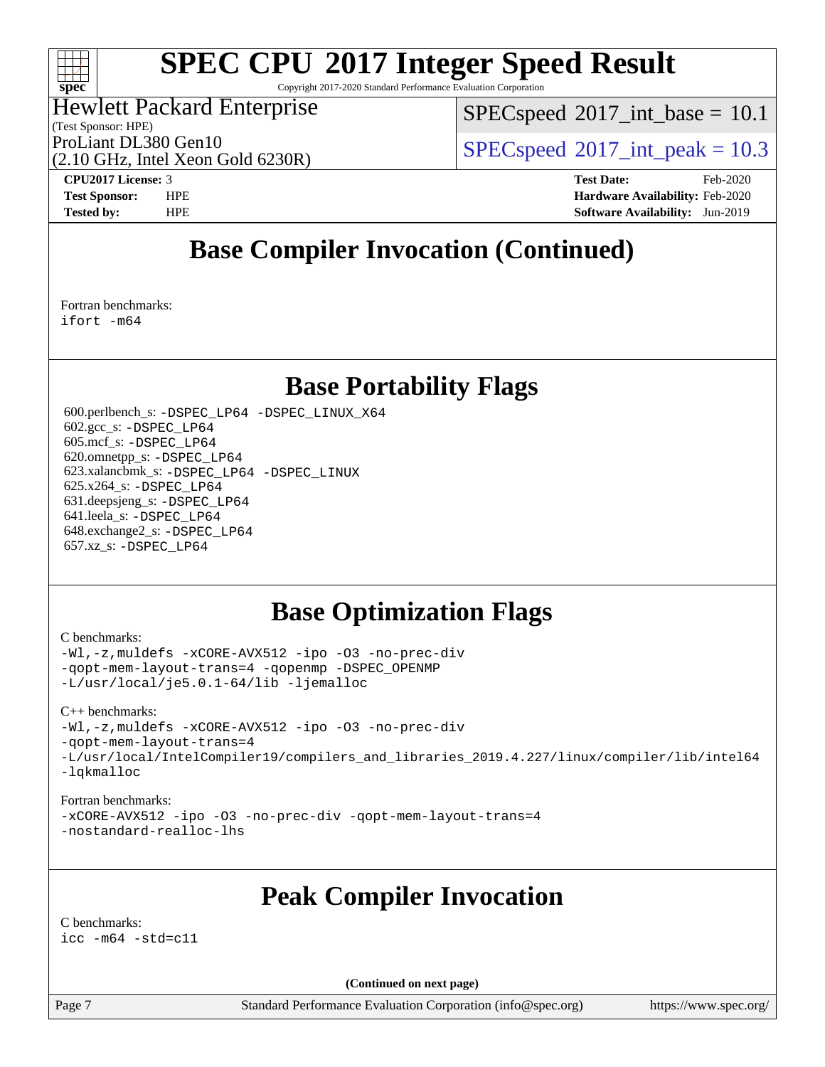## $\pm\pm\tau$ **[spec](http://www.spec.org/)**

# **[SPEC CPU](http://www.spec.org/auto/cpu2017/Docs/result-fields.html#SPECCPU2017IntegerSpeedResult)[2017 Integer Speed Result](http://www.spec.org/auto/cpu2017/Docs/result-fields.html#SPECCPU2017IntegerSpeedResult)**

Copyright 2017-2020 Standard Performance Evaluation Corporation

## Hewlett Packard Enterprise

(2.10 GHz, Intel Xeon Gold 6230R)

(Test Sponsor: HPE)

 $SPECspeed^{\circledcirc}2017\_int\_base = 10.1$  $SPECspeed^{\circledcirc}2017\_int\_base = 10.1$ 

ProLiant DL380 Gen10  $SPECspeed@2017$  $SPECspeed@2017$ \_int\_peak = 10.3

**[CPU2017 License:](http://www.spec.org/auto/cpu2017/Docs/result-fields.html#CPU2017License)** 3 **[Test Date:](http://www.spec.org/auto/cpu2017/Docs/result-fields.html#TestDate)** Feb-2020 **[Test Sponsor:](http://www.spec.org/auto/cpu2017/Docs/result-fields.html#TestSponsor)** HPE **[Hardware Availability:](http://www.spec.org/auto/cpu2017/Docs/result-fields.html#HardwareAvailability)** Feb-2020 **[Tested by:](http://www.spec.org/auto/cpu2017/Docs/result-fields.html#Testedby)** HPE **[Software Availability:](http://www.spec.org/auto/cpu2017/Docs/result-fields.html#SoftwareAvailability)** Jun-2019

## **[Base Compiler Invocation \(Continued\)](http://www.spec.org/auto/cpu2017/Docs/result-fields.html#BaseCompilerInvocation)**

[Fortran benchmarks](http://www.spec.org/auto/cpu2017/Docs/result-fields.html#Fortranbenchmarks): [ifort -m64](http://www.spec.org/cpu2017/results/res2020q1/cpu2017-20200302-21061.flags.html#user_FCbase_intel_ifort_64bit_24f2bb282fbaeffd6157abe4f878425411749daecae9a33200eee2bee2fe76f3b89351d69a8130dd5949958ce389cf37ff59a95e7a40d588e8d3a57e0c3fd751)

## **[Base Portability Flags](http://www.spec.org/auto/cpu2017/Docs/result-fields.html#BasePortabilityFlags)**

 600.perlbench\_s: [-DSPEC\\_LP64](http://www.spec.org/cpu2017/results/res2020q1/cpu2017-20200302-21061.flags.html#b600.perlbench_s_basePORTABILITY_DSPEC_LP64) [-DSPEC\\_LINUX\\_X64](http://www.spec.org/cpu2017/results/res2020q1/cpu2017-20200302-21061.flags.html#b600.perlbench_s_baseCPORTABILITY_DSPEC_LINUX_X64) 602.gcc\_s: [-DSPEC\\_LP64](http://www.spec.org/cpu2017/results/res2020q1/cpu2017-20200302-21061.flags.html#suite_basePORTABILITY602_gcc_s_DSPEC_LP64) 605.mcf\_s: [-DSPEC\\_LP64](http://www.spec.org/cpu2017/results/res2020q1/cpu2017-20200302-21061.flags.html#suite_basePORTABILITY605_mcf_s_DSPEC_LP64) 620.omnetpp\_s: [-DSPEC\\_LP64](http://www.spec.org/cpu2017/results/res2020q1/cpu2017-20200302-21061.flags.html#suite_basePORTABILITY620_omnetpp_s_DSPEC_LP64) 623.xalancbmk\_s: [-DSPEC\\_LP64](http://www.spec.org/cpu2017/results/res2020q1/cpu2017-20200302-21061.flags.html#suite_basePORTABILITY623_xalancbmk_s_DSPEC_LP64) [-DSPEC\\_LINUX](http://www.spec.org/cpu2017/results/res2020q1/cpu2017-20200302-21061.flags.html#b623.xalancbmk_s_baseCXXPORTABILITY_DSPEC_LINUX) 625.x264\_s: [-DSPEC\\_LP64](http://www.spec.org/cpu2017/results/res2020q1/cpu2017-20200302-21061.flags.html#suite_basePORTABILITY625_x264_s_DSPEC_LP64) 631.deepsjeng\_s: [-DSPEC\\_LP64](http://www.spec.org/cpu2017/results/res2020q1/cpu2017-20200302-21061.flags.html#suite_basePORTABILITY631_deepsjeng_s_DSPEC_LP64) 641.leela\_s: [-DSPEC\\_LP64](http://www.spec.org/cpu2017/results/res2020q1/cpu2017-20200302-21061.flags.html#suite_basePORTABILITY641_leela_s_DSPEC_LP64) 648.exchange2\_s: [-DSPEC\\_LP64](http://www.spec.org/cpu2017/results/res2020q1/cpu2017-20200302-21061.flags.html#suite_basePORTABILITY648_exchange2_s_DSPEC_LP64) 657.xz\_s: [-DSPEC\\_LP64](http://www.spec.org/cpu2017/results/res2020q1/cpu2017-20200302-21061.flags.html#suite_basePORTABILITY657_xz_s_DSPEC_LP64)

## **[Base Optimization Flags](http://www.spec.org/auto/cpu2017/Docs/result-fields.html#BaseOptimizationFlags)**

[C benchmarks](http://www.spec.org/auto/cpu2017/Docs/result-fields.html#Cbenchmarks):

[-Wl,-z,muldefs](http://www.spec.org/cpu2017/results/res2020q1/cpu2017-20200302-21061.flags.html#user_CCbase_link_force_multiple1_b4cbdb97b34bdee9ceefcfe54f4c8ea74255f0b02a4b23e853cdb0e18eb4525ac79b5a88067c842dd0ee6996c24547a27a4b99331201badda8798ef8a743f577) [-xCORE-AVX512](http://www.spec.org/cpu2017/results/res2020q1/cpu2017-20200302-21061.flags.html#user_CCbase_f-xCORE-AVX512) [-ipo](http://www.spec.org/cpu2017/results/res2020q1/cpu2017-20200302-21061.flags.html#user_CCbase_f-ipo) [-O3](http://www.spec.org/cpu2017/results/res2020q1/cpu2017-20200302-21061.flags.html#user_CCbase_f-O3) [-no-prec-div](http://www.spec.org/cpu2017/results/res2020q1/cpu2017-20200302-21061.flags.html#user_CCbase_f-no-prec-div) [-qopt-mem-layout-trans=4](http://www.spec.org/cpu2017/results/res2020q1/cpu2017-20200302-21061.flags.html#user_CCbase_f-qopt-mem-layout-trans_fa39e755916c150a61361b7846f310bcdf6f04e385ef281cadf3647acec3f0ae266d1a1d22d972a7087a248fd4e6ca390a3634700869573d231a252c784941a8) [-qopenmp](http://www.spec.org/cpu2017/results/res2020q1/cpu2017-20200302-21061.flags.html#user_CCbase_qopenmp_16be0c44f24f464004c6784a7acb94aca937f053568ce72f94b139a11c7c168634a55f6653758ddd83bcf7b8463e8028bb0b48b77bcddc6b78d5d95bb1df2967) [-DSPEC\\_OPENMP](http://www.spec.org/cpu2017/results/res2020q1/cpu2017-20200302-21061.flags.html#suite_CCbase_DSPEC_OPENMP) [-L/usr/local/je5.0.1-64/lib](http://www.spec.org/cpu2017/results/res2020q1/cpu2017-20200302-21061.flags.html#user_CCbase_jemalloc_link_path64_4b10a636b7bce113509b17f3bd0d6226c5fb2346b9178c2d0232c14f04ab830f976640479e5c33dc2bcbbdad86ecfb6634cbbd4418746f06f368b512fced5394) [-ljemalloc](http://www.spec.org/cpu2017/results/res2020q1/cpu2017-20200302-21061.flags.html#user_CCbase_jemalloc_link_lib_d1249b907c500fa1c0672f44f562e3d0f79738ae9e3c4a9c376d49f265a04b9c99b167ecedbf6711b3085be911c67ff61f150a17b3472be731631ba4d0471706)

[C++ benchmarks:](http://www.spec.org/auto/cpu2017/Docs/result-fields.html#CXXbenchmarks) [-Wl,-z,muldefs](http://www.spec.org/cpu2017/results/res2020q1/cpu2017-20200302-21061.flags.html#user_CXXbase_link_force_multiple1_b4cbdb97b34bdee9ceefcfe54f4c8ea74255f0b02a4b23e853cdb0e18eb4525ac79b5a88067c842dd0ee6996c24547a27a4b99331201badda8798ef8a743f577) [-xCORE-AVX512](http://www.spec.org/cpu2017/results/res2020q1/cpu2017-20200302-21061.flags.html#user_CXXbase_f-xCORE-AVX512) [-ipo](http://www.spec.org/cpu2017/results/res2020q1/cpu2017-20200302-21061.flags.html#user_CXXbase_f-ipo) [-O3](http://www.spec.org/cpu2017/results/res2020q1/cpu2017-20200302-21061.flags.html#user_CXXbase_f-O3) [-no-prec-div](http://www.spec.org/cpu2017/results/res2020q1/cpu2017-20200302-21061.flags.html#user_CXXbase_f-no-prec-div) [-qopt-mem-layout-trans=4](http://www.spec.org/cpu2017/results/res2020q1/cpu2017-20200302-21061.flags.html#user_CXXbase_f-qopt-mem-layout-trans_fa39e755916c150a61361b7846f310bcdf6f04e385ef281cadf3647acec3f0ae266d1a1d22d972a7087a248fd4e6ca390a3634700869573d231a252c784941a8) [-L/usr/local/IntelCompiler19/compilers\\_and\\_libraries\\_2019.4.227/linux/compiler/lib/intel64](http://www.spec.org/cpu2017/results/res2020q1/cpu2017-20200302-21061.flags.html#user_CXXbase_qkmalloc_link_0ffe0cb02c68ef1b443a077c7888c10c67ca0d1dd7138472156f06a085bbad385f78d49618ad55dca9db3b1608e84afc2f69b4003b1d1ca498a9fc1462ccefda) [-lqkmalloc](http://www.spec.org/cpu2017/results/res2020q1/cpu2017-20200302-21061.flags.html#user_CXXbase_qkmalloc_link_lib_79a818439969f771c6bc311cfd333c00fc099dad35c030f5aab9dda831713d2015205805422f83de8875488a2991c0a156aaa600e1f9138f8fc37004abc96dc5)

[Fortran benchmarks:](http://www.spec.org/auto/cpu2017/Docs/result-fields.html#Fortranbenchmarks) [-xCORE-AVX512](http://www.spec.org/cpu2017/results/res2020q1/cpu2017-20200302-21061.flags.html#user_FCbase_f-xCORE-AVX512) [-ipo](http://www.spec.org/cpu2017/results/res2020q1/cpu2017-20200302-21061.flags.html#user_FCbase_f-ipo) [-O3](http://www.spec.org/cpu2017/results/res2020q1/cpu2017-20200302-21061.flags.html#user_FCbase_f-O3) [-no-prec-div](http://www.spec.org/cpu2017/results/res2020q1/cpu2017-20200302-21061.flags.html#user_FCbase_f-no-prec-div) [-qopt-mem-layout-trans=4](http://www.spec.org/cpu2017/results/res2020q1/cpu2017-20200302-21061.flags.html#user_FCbase_f-qopt-mem-layout-trans_fa39e755916c150a61361b7846f310bcdf6f04e385ef281cadf3647acec3f0ae266d1a1d22d972a7087a248fd4e6ca390a3634700869573d231a252c784941a8) [-nostandard-realloc-lhs](http://www.spec.org/cpu2017/results/res2020q1/cpu2017-20200302-21061.flags.html#user_FCbase_f_2003_std_realloc_82b4557e90729c0f113870c07e44d33d6f5a304b4f63d4c15d2d0f1fab99f5daaed73bdb9275d9ae411527f28b936061aa8b9c8f2d63842963b95c9dd6426b8a)

## **[Peak Compiler Invocation](http://www.spec.org/auto/cpu2017/Docs/result-fields.html#PeakCompilerInvocation)**

[C benchmarks](http://www.spec.org/auto/cpu2017/Docs/result-fields.html#Cbenchmarks): [icc -m64 -std=c11](http://www.spec.org/cpu2017/results/res2020q1/cpu2017-20200302-21061.flags.html#user_CCpeak_intel_icc_64bit_c11_33ee0cdaae7deeeab2a9725423ba97205ce30f63b9926c2519791662299b76a0318f32ddfffdc46587804de3178b4f9328c46fa7c2b0cd779d7a61945c91cd35)

**(Continued on next page)**

Page 7 Standard Performance Evaluation Corporation [\(info@spec.org\)](mailto:info@spec.org) <https://www.spec.org/>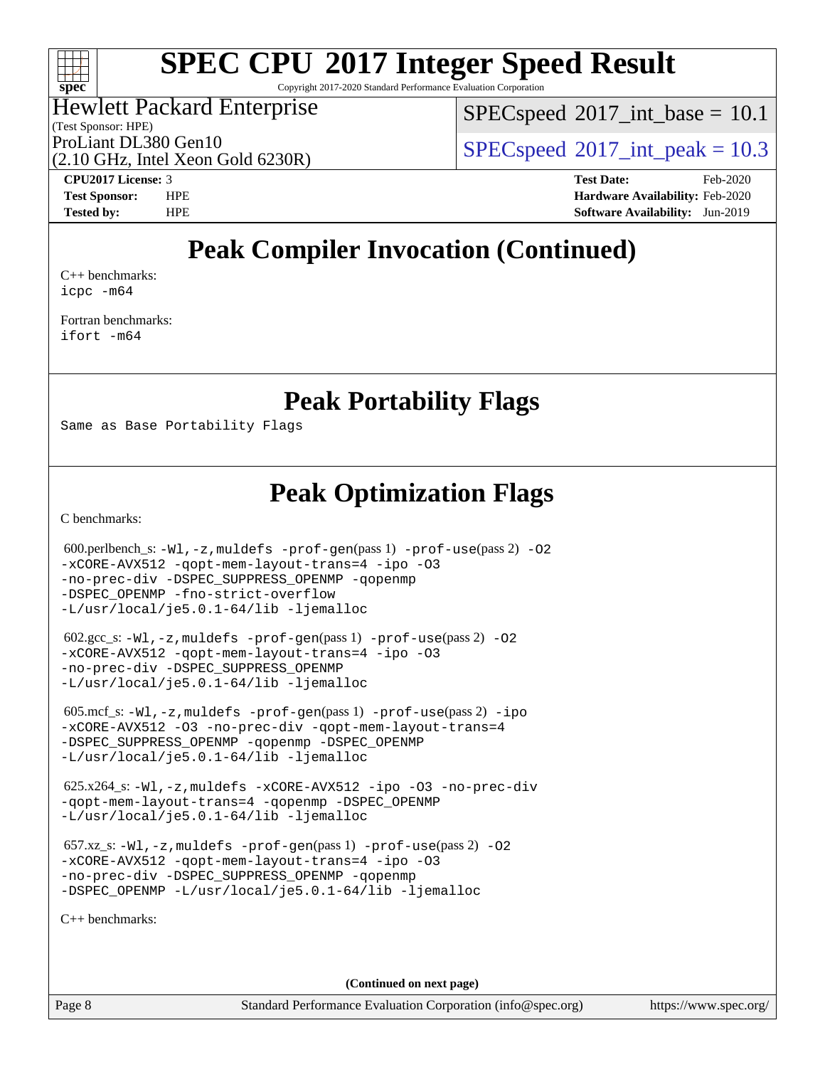

Copyright 2017-2020 Standard Performance Evaluation Corporation

## Hewlett Packard Enterprise

(Test Sponsor: HPE)

 $SPECspeed^{\circ}2017\_int\_base = 10.1$  $SPECspeed^{\circ}2017\_int\_base = 10.1$ 

(2.10 GHz, Intel Xeon Gold 6230R)

ProLiant DL380 Gen10  $SPECspeed@2017$  $SPECspeed@2017$ \_int\_peak = 10.3

**[CPU2017 License:](http://www.spec.org/auto/cpu2017/Docs/result-fields.html#CPU2017License)** 3 **[Test Date:](http://www.spec.org/auto/cpu2017/Docs/result-fields.html#TestDate)** Feb-2020 **[Test Sponsor:](http://www.spec.org/auto/cpu2017/Docs/result-fields.html#TestSponsor)** HPE **[Hardware Availability:](http://www.spec.org/auto/cpu2017/Docs/result-fields.html#HardwareAvailability)** Feb-2020 **[Tested by:](http://www.spec.org/auto/cpu2017/Docs/result-fields.html#Testedby)** HPE **[Software Availability:](http://www.spec.org/auto/cpu2017/Docs/result-fields.html#SoftwareAvailability)** Jun-2019

## **[Peak Compiler Invocation \(Continued\)](http://www.spec.org/auto/cpu2017/Docs/result-fields.html#PeakCompilerInvocation)**

[C++ benchmarks:](http://www.spec.org/auto/cpu2017/Docs/result-fields.html#CXXbenchmarks) [icpc -m64](http://www.spec.org/cpu2017/results/res2020q1/cpu2017-20200302-21061.flags.html#user_CXXpeak_intel_icpc_64bit_4ecb2543ae3f1412ef961e0650ca070fec7b7afdcd6ed48761b84423119d1bf6bdf5cad15b44d48e7256388bc77273b966e5eb805aefd121eb22e9299b2ec9d9)

[Fortran benchmarks](http://www.spec.org/auto/cpu2017/Docs/result-fields.html#Fortranbenchmarks): [ifort -m64](http://www.spec.org/cpu2017/results/res2020q1/cpu2017-20200302-21061.flags.html#user_FCpeak_intel_ifort_64bit_24f2bb282fbaeffd6157abe4f878425411749daecae9a33200eee2bee2fe76f3b89351d69a8130dd5949958ce389cf37ff59a95e7a40d588e8d3a57e0c3fd751)

## **[Peak Portability Flags](http://www.spec.org/auto/cpu2017/Docs/result-fields.html#PeakPortabilityFlags)**

Same as Base Portability Flags

## **[Peak Optimization Flags](http://www.spec.org/auto/cpu2017/Docs/result-fields.html#PeakOptimizationFlags)**

[C benchmarks](http://www.spec.org/auto/cpu2017/Docs/result-fields.html#Cbenchmarks):

600.perlbench\_s:  $-W1$ ,  $-z$ , muldefs  $-prof-qen(pass 1)$  [-prof-use](http://www.spec.org/cpu2017/results/res2020q1/cpu2017-20200302-21061.flags.html#user_peakPASS2_CFLAGSPASS2_LDFLAGS600_perlbench_s_prof_use_1a21ceae95f36a2b53c25747139a6c16ca95bd9def2a207b4f0849963b97e94f5260e30a0c64f4bb623698870e679ca08317ef8150905d41bd88c6f78df73f19)(pass 2) -02 [-xCORE-AVX512](http://www.spec.org/cpu2017/results/res2020q1/cpu2017-20200302-21061.flags.html#user_peakPASS2_COPTIMIZE600_perlbench_s_f-xCORE-AVX512) [-qopt-mem-layout-trans=4](http://www.spec.org/cpu2017/results/res2020q1/cpu2017-20200302-21061.flags.html#user_peakPASS1_COPTIMIZEPASS2_COPTIMIZE600_perlbench_s_f-qopt-mem-layout-trans_fa39e755916c150a61361b7846f310bcdf6f04e385ef281cadf3647acec3f0ae266d1a1d22d972a7087a248fd4e6ca390a3634700869573d231a252c784941a8) [-ipo](http://www.spec.org/cpu2017/results/res2020q1/cpu2017-20200302-21061.flags.html#user_peakPASS2_COPTIMIZE600_perlbench_s_f-ipo) [-O3](http://www.spec.org/cpu2017/results/res2020q1/cpu2017-20200302-21061.flags.html#user_peakPASS2_COPTIMIZE600_perlbench_s_f-O3) [-no-prec-div](http://www.spec.org/cpu2017/results/res2020q1/cpu2017-20200302-21061.flags.html#user_peakPASS2_COPTIMIZE600_perlbench_s_f-no-prec-div) [-DSPEC\\_SUPPRESS\\_OPENMP](http://www.spec.org/cpu2017/results/res2020q1/cpu2017-20200302-21061.flags.html#suite_peakPASS1_COPTIMIZE600_perlbench_s_DSPEC_SUPPRESS_OPENMP) [-qopenmp](http://www.spec.org/cpu2017/results/res2020q1/cpu2017-20200302-21061.flags.html#user_peakPASS2_COPTIMIZE600_perlbench_s_qopenmp_16be0c44f24f464004c6784a7acb94aca937f053568ce72f94b139a11c7c168634a55f6653758ddd83bcf7b8463e8028bb0b48b77bcddc6b78d5d95bb1df2967) [-DSPEC\\_OPENMP](http://www.spec.org/cpu2017/results/res2020q1/cpu2017-20200302-21061.flags.html#suite_peakPASS2_COPTIMIZE600_perlbench_s_DSPEC_OPENMP) [-fno-strict-overflow](http://www.spec.org/cpu2017/results/res2020q1/cpu2017-20200302-21061.flags.html#user_peakEXTRA_OPTIMIZE600_perlbench_s_f-fno-strict-overflow) [-L/usr/local/je5.0.1-64/lib](http://www.spec.org/cpu2017/results/res2020q1/cpu2017-20200302-21061.flags.html#user_peakEXTRA_LIBS600_perlbench_s_jemalloc_link_path64_4b10a636b7bce113509b17f3bd0d6226c5fb2346b9178c2d0232c14f04ab830f976640479e5c33dc2bcbbdad86ecfb6634cbbd4418746f06f368b512fced5394) [-ljemalloc](http://www.spec.org/cpu2017/results/res2020q1/cpu2017-20200302-21061.flags.html#user_peakEXTRA_LIBS600_perlbench_s_jemalloc_link_lib_d1249b907c500fa1c0672f44f562e3d0f79738ae9e3c4a9c376d49f265a04b9c99b167ecedbf6711b3085be911c67ff61f150a17b3472be731631ba4d0471706)

 $602.\text{sec}\text{s}: -W1, -z$ , muldefs  $-\text{prof}-\text{gen}(pass 1) -\text{prof}-\text{use}(pass 2) -02$ [-xCORE-AVX512](http://www.spec.org/cpu2017/results/res2020q1/cpu2017-20200302-21061.flags.html#user_peakPASS2_COPTIMIZE602_gcc_s_f-xCORE-AVX512) [-qopt-mem-layout-trans=4](http://www.spec.org/cpu2017/results/res2020q1/cpu2017-20200302-21061.flags.html#user_peakPASS1_COPTIMIZEPASS2_COPTIMIZE602_gcc_s_f-qopt-mem-layout-trans_fa39e755916c150a61361b7846f310bcdf6f04e385ef281cadf3647acec3f0ae266d1a1d22d972a7087a248fd4e6ca390a3634700869573d231a252c784941a8) [-ipo](http://www.spec.org/cpu2017/results/res2020q1/cpu2017-20200302-21061.flags.html#user_peakPASS2_COPTIMIZE602_gcc_s_f-ipo) [-O3](http://www.spec.org/cpu2017/results/res2020q1/cpu2017-20200302-21061.flags.html#user_peakPASS2_COPTIMIZE602_gcc_s_f-O3) [-no-prec-div](http://www.spec.org/cpu2017/results/res2020q1/cpu2017-20200302-21061.flags.html#user_peakPASS2_COPTIMIZE602_gcc_s_f-no-prec-div) [-DSPEC\\_SUPPRESS\\_OPENMP](http://www.spec.org/cpu2017/results/res2020q1/cpu2017-20200302-21061.flags.html#suite_peakPASS1_COPTIMIZE602_gcc_s_DSPEC_SUPPRESS_OPENMP) [-L/usr/local/je5.0.1-64/lib](http://www.spec.org/cpu2017/results/res2020q1/cpu2017-20200302-21061.flags.html#user_peakEXTRA_LIBS602_gcc_s_jemalloc_link_path64_4b10a636b7bce113509b17f3bd0d6226c5fb2346b9178c2d0232c14f04ab830f976640479e5c33dc2bcbbdad86ecfb6634cbbd4418746f06f368b512fced5394) [-ljemalloc](http://www.spec.org/cpu2017/results/res2020q1/cpu2017-20200302-21061.flags.html#user_peakEXTRA_LIBS602_gcc_s_jemalloc_link_lib_d1249b907c500fa1c0672f44f562e3d0f79738ae9e3c4a9c376d49f265a04b9c99b167ecedbf6711b3085be911c67ff61f150a17b3472be731631ba4d0471706)

 605.mcf\_s: [-Wl,-z,muldefs](http://www.spec.org/cpu2017/results/res2020q1/cpu2017-20200302-21061.flags.html#user_peakEXTRA_LDFLAGS605_mcf_s_link_force_multiple1_b4cbdb97b34bdee9ceefcfe54f4c8ea74255f0b02a4b23e853cdb0e18eb4525ac79b5a88067c842dd0ee6996c24547a27a4b99331201badda8798ef8a743f577) [-prof-gen](http://www.spec.org/cpu2017/results/res2020q1/cpu2017-20200302-21061.flags.html#user_peakPASS1_CFLAGSPASS1_LDFLAGS605_mcf_s_prof_gen_5aa4926d6013ddb2a31985c654b3eb18169fc0c6952a63635c234f711e6e63dd76e94ad52365559451ec499a2cdb89e4dc58ba4c67ef54ca681ffbe1461d6b36)(pass 1) [-prof-use](http://www.spec.org/cpu2017/results/res2020q1/cpu2017-20200302-21061.flags.html#user_peakPASS2_CFLAGSPASS2_LDFLAGS605_mcf_s_prof_use_1a21ceae95f36a2b53c25747139a6c16ca95bd9def2a207b4f0849963b97e94f5260e30a0c64f4bb623698870e679ca08317ef8150905d41bd88c6f78df73f19)(pass 2) [-ipo](http://www.spec.org/cpu2017/results/res2020q1/cpu2017-20200302-21061.flags.html#user_peakPASS1_COPTIMIZEPASS2_COPTIMIZE605_mcf_s_f-ipo) [-xCORE-AVX512](http://www.spec.org/cpu2017/results/res2020q1/cpu2017-20200302-21061.flags.html#user_peakPASS2_COPTIMIZE605_mcf_s_f-xCORE-AVX512) [-O3](http://www.spec.org/cpu2017/results/res2020q1/cpu2017-20200302-21061.flags.html#user_peakPASS1_COPTIMIZEPASS2_COPTIMIZE605_mcf_s_f-O3) [-no-prec-div](http://www.spec.org/cpu2017/results/res2020q1/cpu2017-20200302-21061.flags.html#user_peakPASS1_COPTIMIZEPASS2_COPTIMIZE605_mcf_s_f-no-prec-div) [-qopt-mem-layout-trans=4](http://www.spec.org/cpu2017/results/res2020q1/cpu2017-20200302-21061.flags.html#user_peakPASS1_COPTIMIZEPASS2_COPTIMIZE605_mcf_s_f-qopt-mem-layout-trans_fa39e755916c150a61361b7846f310bcdf6f04e385ef281cadf3647acec3f0ae266d1a1d22d972a7087a248fd4e6ca390a3634700869573d231a252c784941a8) -DSPEC SUPPRESS OPENMP [-qopenmp](http://www.spec.org/cpu2017/results/res2020q1/cpu2017-20200302-21061.flags.html#user_peakPASS2_COPTIMIZE605_mcf_s_qopenmp_16be0c44f24f464004c6784a7acb94aca937f053568ce72f94b139a11c7c168634a55f6653758ddd83bcf7b8463e8028bb0b48b77bcddc6b78d5d95bb1df2967) -DSPEC OPENMP [-L/usr/local/je5.0.1-64/lib](http://www.spec.org/cpu2017/results/res2020q1/cpu2017-20200302-21061.flags.html#user_peakEXTRA_LIBS605_mcf_s_jemalloc_link_path64_4b10a636b7bce113509b17f3bd0d6226c5fb2346b9178c2d0232c14f04ab830f976640479e5c33dc2bcbbdad86ecfb6634cbbd4418746f06f368b512fced5394) [-ljemalloc](http://www.spec.org/cpu2017/results/res2020q1/cpu2017-20200302-21061.flags.html#user_peakEXTRA_LIBS605_mcf_s_jemalloc_link_lib_d1249b907c500fa1c0672f44f562e3d0f79738ae9e3c4a9c376d49f265a04b9c99b167ecedbf6711b3085be911c67ff61f150a17b3472be731631ba4d0471706)

 625.x264\_s: [-Wl,-z,muldefs](http://www.spec.org/cpu2017/results/res2020q1/cpu2017-20200302-21061.flags.html#user_peakEXTRA_LDFLAGS625_x264_s_link_force_multiple1_b4cbdb97b34bdee9ceefcfe54f4c8ea74255f0b02a4b23e853cdb0e18eb4525ac79b5a88067c842dd0ee6996c24547a27a4b99331201badda8798ef8a743f577) [-xCORE-AVX512](http://www.spec.org/cpu2017/results/res2020q1/cpu2017-20200302-21061.flags.html#user_peakCOPTIMIZE625_x264_s_f-xCORE-AVX512) [-ipo](http://www.spec.org/cpu2017/results/res2020q1/cpu2017-20200302-21061.flags.html#user_peakCOPTIMIZE625_x264_s_f-ipo) [-O3](http://www.spec.org/cpu2017/results/res2020q1/cpu2017-20200302-21061.flags.html#user_peakCOPTIMIZE625_x264_s_f-O3) [-no-prec-div](http://www.spec.org/cpu2017/results/res2020q1/cpu2017-20200302-21061.flags.html#user_peakCOPTIMIZE625_x264_s_f-no-prec-div) [-qopt-mem-layout-trans=4](http://www.spec.org/cpu2017/results/res2020q1/cpu2017-20200302-21061.flags.html#user_peakCOPTIMIZE625_x264_s_f-qopt-mem-layout-trans_fa39e755916c150a61361b7846f310bcdf6f04e385ef281cadf3647acec3f0ae266d1a1d22d972a7087a248fd4e6ca390a3634700869573d231a252c784941a8) [-qopenmp](http://www.spec.org/cpu2017/results/res2020q1/cpu2017-20200302-21061.flags.html#user_peakCOPTIMIZE625_x264_s_qopenmp_16be0c44f24f464004c6784a7acb94aca937f053568ce72f94b139a11c7c168634a55f6653758ddd83bcf7b8463e8028bb0b48b77bcddc6b78d5d95bb1df2967) [-DSPEC\\_OPENMP](http://www.spec.org/cpu2017/results/res2020q1/cpu2017-20200302-21061.flags.html#suite_peakCOPTIMIZE625_x264_s_DSPEC_OPENMP) [-L/usr/local/je5.0.1-64/lib](http://www.spec.org/cpu2017/results/res2020q1/cpu2017-20200302-21061.flags.html#user_peakEXTRA_LIBS625_x264_s_jemalloc_link_path64_4b10a636b7bce113509b17f3bd0d6226c5fb2346b9178c2d0232c14f04ab830f976640479e5c33dc2bcbbdad86ecfb6634cbbd4418746f06f368b512fced5394) [-ljemalloc](http://www.spec.org/cpu2017/results/res2020q1/cpu2017-20200302-21061.flags.html#user_peakEXTRA_LIBS625_x264_s_jemalloc_link_lib_d1249b907c500fa1c0672f44f562e3d0f79738ae9e3c4a9c376d49f265a04b9c99b167ecedbf6711b3085be911c67ff61f150a17b3472be731631ba4d0471706)

 657.xz\_s: [-Wl,-z,muldefs](http://www.spec.org/cpu2017/results/res2020q1/cpu2017-20200302-21061.flags.html#user_peakEXTRA_LDFLAGS657_xz_s_link_force_multiple1_b4cbdb97b34bdee9ceefcfe54f4c8ea74255f0b02a4b23e853cdb0e18eb4525ac79b5a88067c842dd0ee6996c24547a27a4b99331201badda8798ef8a743f577) [-prof-gen](http://www.spec.org/cpu2017/results/res2020q1/cpu2017-20200302-21061.flags.html#user_peakPASS1_CFLAGSPASS1_LDFLAGS657_xz_s_prof_gen_5aa4926d6013ddb2a31985c654b3eb18169fc0c6952a63635c234f711e6e63dd76e94ad52365559451ec499a2cdb89e4dc58ba4c67ef54ca681ffbe1461d6b36)(pass 1) [-prof-use](http://www.spec.org/cpu2017/results/res2020q1/cpu2017-20200302-21061.flags.html#user_peakPASS2_CFLAGSPASS2_LDFLAGS657_xz_s_prof_use_1a21ceae95f36a2b53c25747139a6c16ca95bd9def2a207b4f0849963b97e94f5260e30a0c64f4bb623698870e679ca08317ef8150905d41bd88c6f78df73f19)(pass 2) [-O2](http://www.spec.org/cpu2017/results/res2020q1/cpu2017-20200302-21061.flags.html#user_peakPASS1_COPTIMIZE657_xz_s_f-O2) [-xCORE-AVX512](http://www.spec.org/cpu2017/results/res2020q1/cpu2017-20200302-21061.flags.html#user_peakPASS2_COPTIMIZE657_xz_s_f-xCORE-AVX512) [-qopt-mem-layout-trans=4](http://www.spec.org/cpu2017/results/res2020q1/cpu2017-20200302-21061.flags.html#user_peakPASS1_COPTIMIZEPASS2_COPTIMIZE657_xz_s_f-qopt-mem-layout-trans_fa39e755916c150a61361b7846f310bcdf6f04e385ef281cadf3647acec3f0ae266d1a1d22d972a7087a248fd4e6ca390a3634700869573d231a252c784941a8) [-ipo](http://www.spec.org/cpu2017/results/res2020q1/cpu2017-20200302-21061.flags.html#user_peakPASS2_COPTIMIZE657_xz_s_f-ipo) [-O3](http://www.spec.org/cpu2017/results/res2020q1/cpu2017-20200302-21061.flags.html#user_peakPASS2_COPTIMIZE657_xz_s_f-O3) [-no-prec-div](http://www.spec.org/cpu2017/results/res2020q1/cpu2017-20200302-21061.flags.html#user_peakPASS2_COPTIMIZE657_xz_s_f-no-prec-div) [-DSPEC\\_SUPPRESS\\_OPENMP](http://www.spec.org/cpu2017/results/res2020q1/cpu2017-20200302-21061.flags.html#suite_peakPASS1_COPTIMIZE657_xz_s_DSPEC_SUPPRESS_OPENMP) [-qopenmp](http://www.spec.org/cpu2017/results/res2020q1/cpu2017-20200302-21061.flags.html#user_peakPASS2_COPTIMIZE657_xz_s_qopenmp_16be0c44f24f464004c6784a7acb94aca937f053568ce72f94b139a11c7c168634a55f6653758ddd83bcf7b8463e8028bb0b48b77bcddc6b78d5d95bb1df2967) [-DSPEC\\_OPENMP](http://www.spec.org/cpu2017/results/res2020q1/cpu2017-20200302-21061.flags.html#suite_peakPASS2_COPTIMIZE657_xz_s_DSPEC_OPENMP) [-L/usr/local/je5.0.1-64/lib](http://www.spec.org/cpu2017/results/res2020q1/cpu2017-20200302-21061.flags.html#user_peakEXTRA_LIBS657_xz_s_jemalloc_link_path64_4b10a636b7bce113509b17f3bd0d6226c5fb2346b9178c2d0232c14f04ab830f976640479e5c33dc2bcbbdad86ecfb6634cbbd4418746f06f368b512fced5394) [-ljemalloc](http://www.spec.org/cpu2017/results/res2020q1/cpu2017-20200302-21061.flags.html#user_peakEXTRA_LIBS657_xz_s_jemalloc_link_lib_d1249b907c500fa1c0672f44f562e3d0f79738ae9e3c4a9c376d49f265a04b9c99b167ecedbf6711b3085be911c67ff61f150a17b3472be731631ba4d0471706)

[C++ benchmarks:](http://www.spec.org/auto/cpu2017/Docs/result-fields.html#CXXbenchmarks)

**(Continued on next page)**